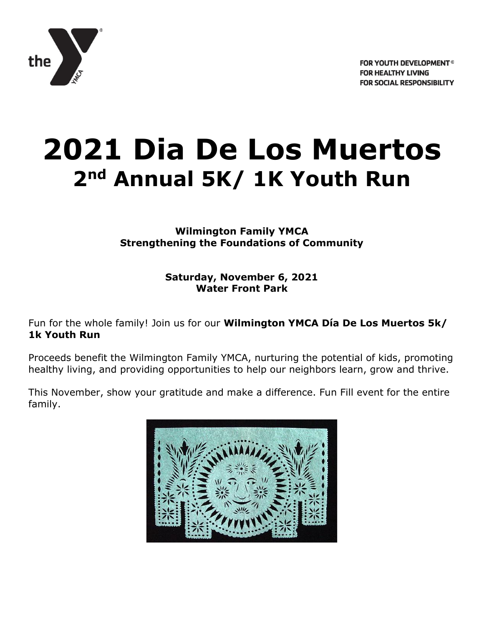

# **2021 Dia De Los Muertos 2nd Annual 5K/ 1K Youth Run**

**Wilmington Family YMCA Strengthening the Foundations of Community**

> **Saturday, November 6, 2021 Water Front Park**

Fun for the whole family! Join us for our **Wilmington YMCA Día De Los Muertos 5k/ 1k Youth Run**

Proceeds benefit the Wilmington Family YMCA, nurturing the potential of kids, promoting healthy living, and providing opportunities to help our neighbors learn, grow and thrive.

This November, show your gratitude and make a difference. Fun Fill event for the entire family.

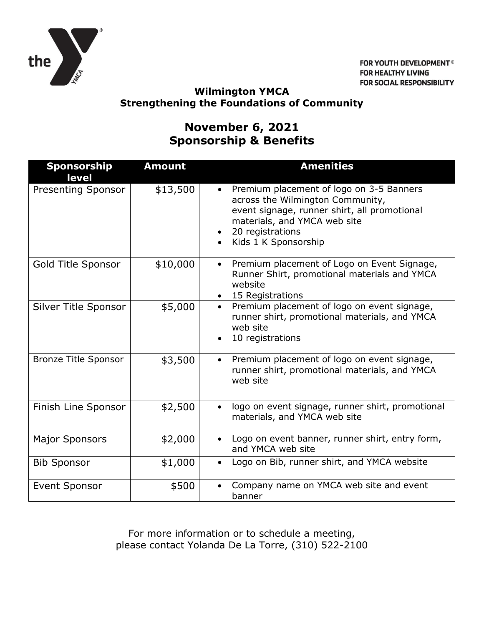

FOR YOUTH DEVELOPMENT<sup>®</sup> **FOR HEALTHY LIVING FOR SOCIAL RESPONSIBILITY** 

#### **Wilmington YMCA Strengthening the Foundations of Community**

## **November 6, 2021 Sponsorship & Benefits**

| <b>Sponsorship</b><br>level | <b>Amount</b> | <b>Amenities</b>                                                                                                                                                                                           |
|-----------------------------|---------------|------------------------------------------------------------------------------------------------------------------------------------------------------------------------------------------------------------|
| Presenting Sponsor          | \$13,500      | • Premium placement of logo on 3-5 Banners<br>across the Wilmington Community,<br>event signage, runner shirt, all promotional<br>materials, and YMCA web site<br>20 registrations<br>Kids 1 K Sponsorship |
| Gold Title Sponsor          | \$10,000      | Premium placement of Logo on Event Signage,<br>$\bullet$<br>Runner Shirt, promotional materials and YMCA<br>website<br>• 15 Registrations                                                                  |
| Silver Title Sponsor        | \$5,000       | Premium placement of logo on event signage,<br>$\bullet$<br>runner shirt, promotional materials, and YMCA<br>web site<br>10 registrations                                                                  |
| <b>Bronze Title Sponsor</b> | \$3,500       | Premium placement of logo on event signage,<br>$\bullet$<br>runner shirt, promotional materials, and YMCA<br>web site                                                                                      |
| Finish Line Sponsor         | \$2,500       | logo on event signage, runner shirt, promotional<br>$\bullet$<br>materials, and YMCA web site                                                                                                              |
| <b>Major Sponsors</b>       | \$2,000       | Logo on event banner, runner shirt, entry form,<br>and YMCA web site                                                                                                                                       |
| <b>Bib Sponsor</b>          | \$1,000       | Logo on Bib, runner shirt, and YMCA website<br>$\bullet$                                                                                                                                                   |
| <b>Event Sponsor</b>        | \$500         | Company name on YMCA web site and event<br>banner                                                                                                                                                          |

For more information or to schedule a meeting, please contact Yolanda De La Torre, (310) 522-2100